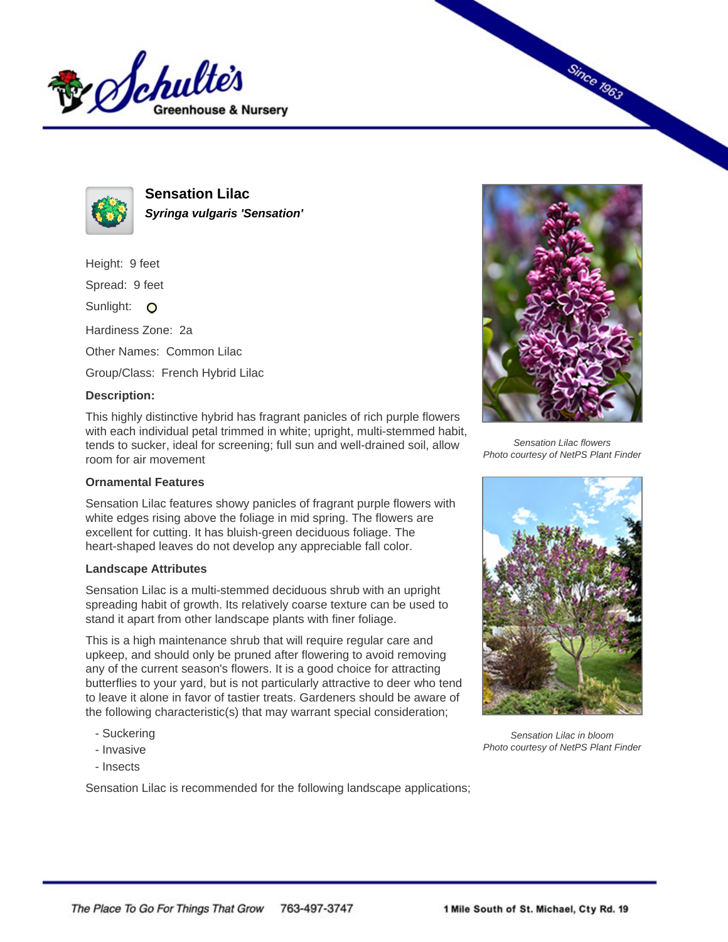



**Sensation Lilac Syringa vulgaris 'Sensation'**

Height: 9 feet

Spread: 9 feet

Sunlight: O

Hardiness Zone: 2a

Other Names: Common Lilac

Group/Class: French Hybrid Lilac

## **Description:**

This highly distinctive hybrid has fragrant panicles of rich purple flowers with each individual petal trimmed in white; upright, multi-stemmed habit, tends to sucker, ideal for screening; full sun and well-drained soil, allow room for air movement

## **Ornamental Features**

Sensation Lilac features showy panicles of fragrant purple flowers with white edges rising above the foliage in mid spring. The flowers are excellent for cutting. It has bluish-green deciduous foliage. The heart-shaped leaves do not develop any appreciable fall color.

## **Landscape Attributes**

Sensation Lilac is a multi-stemmed deciduous shrub with an upright spreading habit of growth. Its relatively coarse texture can be used to stand it apart from other landscape plants with finer foliage.

This is a high maintenance shrub that will require regular care and upkeep, and should only be pruned after flowering to avoid removing any of the current season's flowers. It is a good choice for attracting butterflies to your yard, but is not particularly attractive to deer who tend to leave it alone in favor of tastier treats. Gardeners should be aware of the following characteristic(s) that may warrant special consideration;

- Suckering
- Invasive
- Insects

Sensation Lilac is recommended for the following landscape applications;



**Since 1963** 

Sensation Lilac flowers Photo courtesy of NetPS Plant Finder



Sensation Lilac in bloom Photo courtesy of NetPS Plant Finder